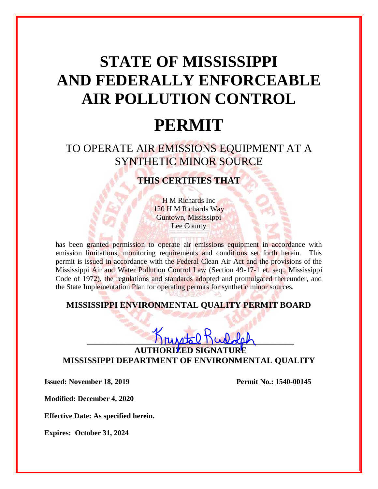# **STATE OF MISSISSIPPI AND FEDERALLY ENFORCEABLE AIR POLLUTION CONTROL**

## **PERMIT**

### TO OPERATE AIR EMISSIONS EQUIPMENT AT A SYNTHETIC MINOR SOURCE

#### **THIS CERTIFIES THAT**

H M Richards Inc 120 H M Richards Way Guntown, Mississippi Lee County

has been granted permission to operate air emissions equipment in accordance with emission limitations, monitoring requirements and conditions set forth herein. This permit is issued in accordance with the Federal Clean Air Act and the provisions of the Mississippi Air and Water Pollution Control Law (Section 49-17-1 et. seq., Mississippi Code of 1972), the regulations and standards adopted and promulgated thereunder, and the State Implementation Plan for operating permits for synthetic minor sources.

#### **MISSISSIPPI ENVIRONMENTAL QUALITY PERMIT BOARD**

 $\frac{1}{\frac{1}{2}}$   $\frac{1}{2}$   $\frac{1}{2}$   $\frac{1}{2}$   $\frac{1}{2}$   $\frac{1}{2}$   $\frac{1}{2}$ **AUTHORIZ MISSISSIPPI DEPARTMENT OF ENVIRONMENTAL QUALITY**

**Issued: November 18, 2019 Permit No.: 1540-00145** 

**Modified: December 4, 2020**

**Effective Date: As specified herein.**

**Expires: October 31, 2024**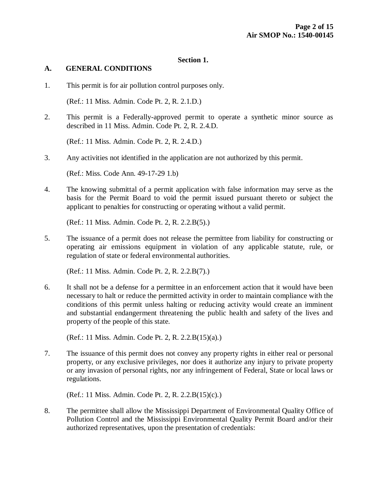#### **Section 1.**

#### **A. GENERAL CONDITIONS**

1. This permit is for air pollution control purposes only.

(Ref.: 11 Miss. Admin. Code Pt. 2, R. 2.1.D.)

2. This permit is a Federally-approved permit to operate a synthetic minor source as described in 11 Miss. Admin. Code Pt. 2, R. 2.4.D.

(Ref.: 11 Miss. Admin. Code Pt. 2, R. 2.4.D.)

3. Any activities not identified in the application are not authorized by this permit.

(Ref.: Miss. Code Ann. 49-17-29 1.b)

4. The knowing submittal of a permit application with false information may serve as the basis for the Permit Board to void the permit issued pursuant thereto or subject the applicant to penalties for constructing or operating without a valid permit.

(Ref.: 11 Miss. Admin. Code Pt. 2, R. 2.2.B(5).)

5. The issuance of a permit does not release the permittee from liability for constructing or operating air emissions equipment in violation of any applicable statute, rule, or regulation of state or federal environmental authorities.

(Ref.: 11 Miss. Admin. Code Pt. 2, R. 2.2.B(7).)

6. It shall not be a defense for a permittee in an enforcement action that it would have been necessary to halt or reduce the permitted activity in order to maintain compliance with the conditions of this permit unless halting or reducing activity would create an imminent and substantial endangerment threatening the public health and safety of the lives and property of the people of this state.

(Ref.: 11 Miss. Admin. Code Pt. 2, R. 2.2.B(15)(a).)

7. The issuance of this permit does not convey any property rights in either real or personal property, or any exclusive privileges, nor does it authorize any injury to private property or any invasion of personal rights, nor any infringement of Federal, State or local laws or regulations.

(Ref.: 11 Miss. Admin. Code Pt. 2, R. 2.2.B(15)(c).)

8. The permittee shall allow the Mississippi Department of Environmental Quality Office of Pollution Control and the Mississippi Environmental Quality Permit Board and/or their authorized representatives, upon the presentation of credentials: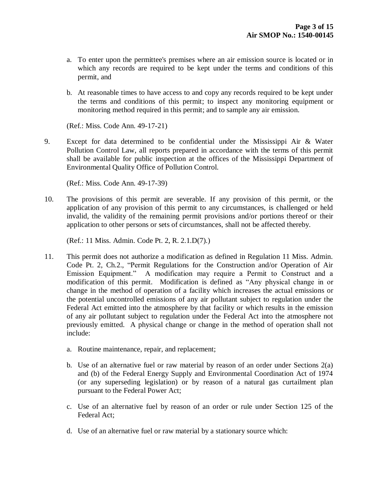- a. To enter upon the permittee's premises where an air emission source is located or in which any records are required to be kept under the terms and conditions of this permit, and
- b. At reasonable times to have access to and copy any records required to be kept under the terms and conditions of this permit; to inspect any monitoring equipment or monitoring method required in this permit; and to sample any air emission.

(Ref.: Miss. Code Ann. 49-17-21)

9. Except for data determined to be confidential under the Mississippi Air & Water Pollution Control Law, all reports prepared in accordance with the terms of this permit shall be available for public inspection at the offices of the Mississippi Department of Environmental Quality Office of Pollution Control.

(Ref.: Miss. Code Ann. 49-17-39)

10. The provisions of this permit are severable. If any provision of this permit, or the application of any provision of this permit to any circumstances, is challenged or held invalid, the validity of the remaining permit provisions and/or portions thereof or their application to other persons or sets of circumstances, shall not be affected thereby.

(Ref.: 11 Miss. Admin. Code Pt. 2, R. 2.1.D(7).)

- 11. This permit does not authorize a modification as defined in Regulation 11 Miss. Admin. Code Pt. 2, Ch.2., "Permit Regulations for the Construction and/or Operation of Air Emission Equipment." A modification may require a Permit to Construct and a modification of this permit. Modification is defined as "Any physical change in or change in the method of operation of a facility which increases the actual emissions or the potential uncontrolled emissions of any air pollutant subject to regulation under the Federal Act emitted into the atmosphere by that facility or which results in the emission of any air pollutant subject to regulation under the Federal Act into the atmosphere not previously emitted. A physical change or change in the method of operation shall not include:
	- a. Routine maintenance, repair, and replacement;
	- b. Use of an alternative fuel or raw material by reason of an order under Sections 2(a) and (b) of the Federal Energy Supply and Environmental Coordination Act of 1974 (or any superseding legislation) or by reason of a natural gas curtailment plan pursuant to the Federal Power Act;
	- c. Use of an alternative fuel by reason of an order or rule under Section 125 of the Federal Act;
	- d. Use of an alternative fuel or raw material by a stationary source which: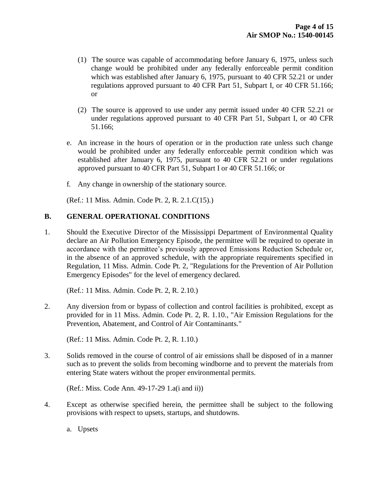- (1) The source was capable of accommodating before January 6, 1975, unless such change would be prohibited under any federally enforceable permit condition which was established after January 6, 1975, pursuant to 40 CFR 52.21 or under regulations approved pursuant to 40 CFR Part 51, Subpart I, or 40 CFR 51.166; or
- (2) The source is approved to use under any permit issued under 40 CFR 52.21 or under regulations approved pursuant to 40 CFR Part 51, Subpart I, or 40 CFR 51.166;
- e. An increase in the hours of operation or in the production rate unless such change would be prohibited under any federally enforceable permit condition which was established after January 6, 1975, pursuant to 40 CFR 52.21 or under regulations approved pursuant to 40 CFR Part 51, Subpart I or 40 CFR 51.166; or
- f. Any change in ownership of the stationary source.

(Ref.: 11 Miss. Admin. Code Pt. 2, R. 2.1.C(15).)

#### **B. GENERAL OPERATIONAL CONDITIONS**

1. Should the Executive Director of the Mississippi Department of Environmental Quality declare an Air Pollution Emergency Episode, the permittee will be required to operate in accordance with the permittee's previously approved Emissions Reduction Schedule or, in the absence of an approved schedule, with the appropriate requirements specified in Regulation, 11 Miss. Admin. Code Pt. 2, "Regulations for the Prevention of Air Pollution Emergency Episodes" for the level of emergency declared.

(Ref.: 11 Miss. Admin. Code Pt. 2, R. 2.10.)

2. Any diversion from or bypass of collection and control facilities is prohibited, except as provided for in 11 Miss. Admin. Code Pt. 2, R. 1.10., "Air Emission Regulations for the Prevention, Abatement, and Control of Air Contaminants."

(Ref.: 11 Miss. Admin. Code Pt. 2, R. 1.10.)

3. Solids removed in the course of control of air emissions shall be disposed of in a manner such as to prevent the solids from becoming windborne and to prevent the materials from entering State waters without the proper environmental permits.

(Ref.: Miss. Code Ann. 49-17-29 1.a(i and ii))

4. Except as otherwise specified herein, the permittee shall be subject to the following provisions with respect to upsets, startups, and shutdowns.

a. Upsets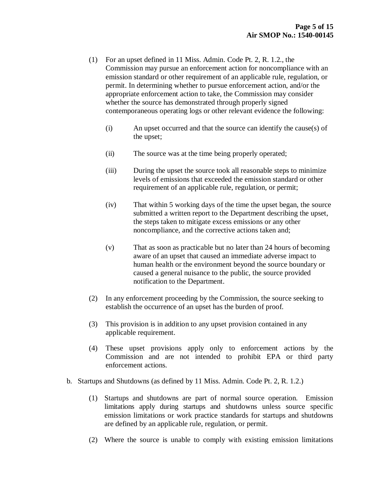- (1) For an upset defined in 11 Miss. Admin. Code Pt. 2, R. 1.2., the Commission may pursue an enforcement action for noncompliance with an emission standard or other requirement of an applicable rule, regulation, or permit. In determining whether to pursue enforcement action, and/or the appropriate enforcement action to take, the Commission may consider whether the source has demonstrated through properly signed contemporaneous operating logs or other relevant evidence the following:
	- (i) An upset occurred and that the source can identify the cause(s) of the upset;
	- (ii) The source was at the time being properly operated;
	- (iii) During the upset the source took all reasonable steps to minimize levels of emissions that exceeded the emission standard or other requirement of an applicable rule, regulation, or permit;
	- (iv) That within 5 working days of the time the upset began, the source submitted a written report to the Department describing the upset, the steps taken to mitigate excess emissions or any other noncompliance, and the corrective actions taken and;
	- (v) That as soon as practicable but no later than 24 hours of becoming aware of an upset that caused an immediate adverse impact to human health or the environment beyond the source boundary or caused a general nuisance to the public, the source provided notification to the Department.
- (2) In any enforcement proceeding by the Commission, the source seeking to establish the occurrence of an upset has the burden of proof.
- (3) This provision is in addition to any upset provision contained in any applicable requirement.
- (4) These upset provisions apply only to enforcement actions by the Commission and are not intended to prohibit EPA or third party enforcement actions.
- b. Startups and Shutdowns (as defined by 11 Miss. Admin. Code Pt. 2, R. 1.2.)
	- (1) Startups and shutdowns are part of normal source operation. Emission limitations apply during startups and shutdowns unless source specific emission limitations or work practice standards for startups and shutdowns are defined by an applicable rule, regulation, or permit.
	- (2) Where the source is unable to comply with existing emission limitations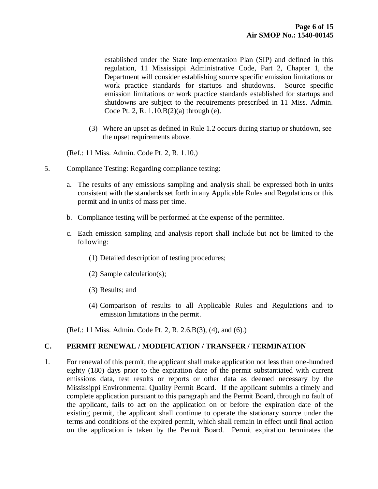established under the State Implementation Plan (SIP) and defined in this regulation, 11 Mississippi Administrative Code, Part 2, Chapter 1, the Department will consider establishing source specific emission limitations or work practice standards for startups and shutdowns. Source specific emission limitations or work practice standards established for startups and shutdowns are subject to the requirements prescribed in 11 Miss. Admin. Code Pt. 2, R. 1.10.B(2)(a) through (e).

(3) Where an upset as defined in Rule 1.2 occurs during startup or shutdown, see the upset requirements above.

(Ref.: 11 Miss. Admin. Code Pt. 2, R. 1.10.)

- 5. Compliance Testing: Regarding compliance testing:
	- a. The results of any emissions sampling and analysis shall be expressed both in units consistent with the standards set forth in any Applicable Rules and Regulations or this permit and in units of mass per time.
	- b. Compliance testing will be performed at the expense of the permittee.
	- c. Each emission sampling and analysis report shall include but not be limited to the following:
		- (1) Detailed description of testing procedures;
		- (2) Sample calculation(s);
		- (3) Results; and
		- (4) Comparison of results to all Applicable Rules and Regulations and to emission limitations in the permit.

(Ref.: 11 Miss. Admin. Code Pt. 2, R. 2.6.B(3), (4), and (6).)

#### **C. PERMIT RENEWAL / MODIFICATION / TRANSFER / TERMINATION**

1. For renewal of this permit, the applicant shall make application not less than one-hundred eighty (180) days prior to the expiration date of the permit substantiated with current emissions data, test results or reports or other data as deemed necessary by the Mississippi Environmental Quality Permit Board. If the applicant submits a timely and complete application pursuant to this paragraph and the Permit Board, through no fault of the applicant, fails to act on the application on or before the expiration date of the existing permit, the applicant shall continue to operate the stationary source under the terms and conditions of the expired permit, which shall remain in effect until final action on the application is taken by the Permit Board. Permit expiration terminates the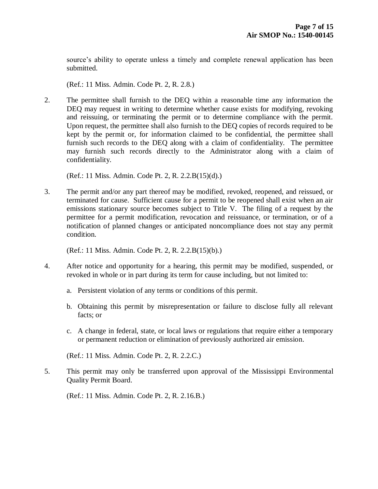source's ability to operate unless a timely and complete renewal application has been submitted.

(Ref.: 11 Miss. Admin. Code Pt. 2, R. 2.8.)

2. The permittee shall furnish to the DEQ within a reasonable time any information the DEQ may request in writing to determine whether cause exists for modifying, revoking and reissuing, or terminating the permit or to determine compliance with the permit. Upon request, the permittee shall also furnish to the DEQ copies of records required to be kept by the permit or, for information claimed to be confidential, the permittee shall furnish such records to the DEQ along with a claim of confidentiality. The permittee may furnish such records directly to the Administrator along with a claim of confidentiality.

(Ref.: 11 Miss. Admin. Code Pt. 2, R. 2.2.B(15)(d).)

3. The permit and/or any part thereof may be modified, revoked, reopened, and reissued, or terminated for cause. Sufficient cause for a permit to be reopened shall exist when an air emissions stationary source becomes subject to Title V. The filing of a request by the permittee for a permit modification, revocation and reissuance, or termination, or of a notification of planned changes or anticipated noncompliance does not stay any permit condition.

(Ref.: 11 Miss. Admin. Code Pt. 2, R. 2.2.B(15)(b).)

- 4. After notice and opportunity for a hearing, this permit may be modified, suspended, or revoked in whole or in part during its term for cause including, but not limited to:
	- a. Persistent violation of any terms or conditions of this permit.
	- b. Obtaining this permit by misrepresentation or failure to disclose fully all relevant facts; or
	- c. A change in federal, state, or local laws or regulations that require either a temporary or permanent reduction or elimination of previously authorized air emission.

(Ref.: 11 Miss. Admin. Code Pt. 2, R. 2.2.C.)

5. This permit may only be transferred upon approval of the Mississippi Environmental Quality Permit Board.

(Ref.: 11 Miss. Admin. Code Pt. 2, R. 2.16.B.)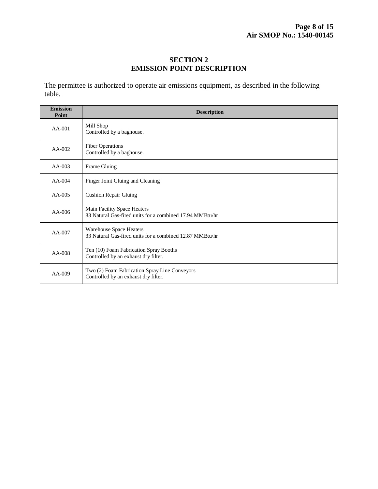#### **SECTION 2 EMISSION POINT DESCRIPTION**

The permittee is authorized to operate air emissions equipment, as described in the following table.

| <b>Emission</b><br>Point | <b>Description</b>                                                                      |  |  |
|--------------------------|-----------------------------------------------------------------------------------------|--|--|
| $AA-001$                 | Mill Shop<br>Controlled by a baghouse.                                                  |  |  |
| $AA-002$                 | <b>Fiber Operations</b><br>Controlled by a baghouse.                                    |  |  |
| $AA-003$                 | Frame Gluing                                                                            |  |  |
| $AA-004$                 | Finger Joint Gluing and Cleaning                                                        |  |  |
| $AA-005$                 | <b>Cushion Repair Gluing</b>                                                            |  |  |
| $AA-006$                 | Main Facility Space Heaters<br>83 Natural Gas-fired units for a combined 17.94 MMBtu/hr |  |  |
| $AA-007$                 | Warehouse Space Heaters<br>33 Natural Gas-fired units for a combined 12.87 MMBtu/hr     |  |  |
| $AA-008$                 | Ten (10) Foam Fabrication Spray Booths<br>Controlled by an exhaust dry filter.          |  |  |
| $AA-009$                 | Two (2) Foam Fabrication Spray Line Conveyors<br>Controlled by an exhaust dry filter.   |  |  |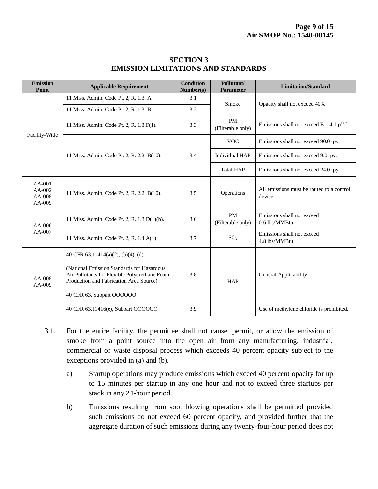| <b>Emission</b><br>Point                   | <b>Applicable Requirement</b>                                                                                                                                                                             | <b>Condition</b><br>Number(s) | Pollutant/<br><b>Parameter</b> | <b>Limitation/Standard</b>                           |
|--------------------------------------------|-----------------------------------------------------------------------------------------------------------------------------------------------------------------------------------------------------------|-------------------------------|--------------------------------|------------------------------------------------------|
| Facility-Wide                              | 11 Miss. Admin. Code Pt. 2, R. 1.3. A.                                                                                                                                                                    | 3.1                           | Smoke                          | Opacity shall not exceed 40%                         |
|                                            | 11 Miss. Admin. Code Pt. 2, R. 1.3. B.                                                                                                                                                                    | 3.2                           |                                |                                                      |
|                                            | 11 Miss. Admin. Code Pt. 2, R. 1.3.F(1).                                                                                                                                                                  | 3.3                           | <b>PM</b><br>(Filterable only) | Emissions shall not exceed $E = 4.1 p^{0.67}$        |
|                                            | 11 Miss. Admin. Code Pt. 2, R. 2.2. B(10).                                                                                                                                                                | 3.4                           | <b>VOC</b>                     | Emissions shall not exceed 90.0 tpy.                 |
|                                            |                                                                                                                                                                                                           |                               | <b>Individual HAP</b>          | Emissions shall not exceed 9.0 tpy.                  |
|                                            |                                                                                                                                                                                                           |                               | <b>Total HAP</b>               | Emissions shall not exceed 24.0 tpy.                 |
| $AA-001$<br>$AA-002$<br>AA-008<br>$AA-009$ | 11 Miss. Admin. Code Pt. 2, R. 2.2. B(10).                                                                                                                                                                | 3.5                           | Operations                     | All emissions must be routed to a control<br>device. |
| $AA-006$<br>AA-007                         | 11 Miss. Admin. Code Pt. 2, R. 1.3.D(1)(b).                                                                                                                                                               | 3.6                           | <b>PM</b><br>(Filterable only) | Emissions shall not exceed<br>0.6 lbs/MMBtu          |
|                                            | 11 Miss. Admin. Code Pt. 2, R. 1.4.A(1).                                                                                                                                                                  | 3.7                           | SO <sub>2</sub>                | Emissions shall not exceed<br>4.8 lbs/MMBtu          |
| AA-008<br>$AA-009$                         | 40 CFR 63.11414(a)(2), (b)(4), (d)<br>(National Emission Standards for Hazardous<br>Air Pollutants for Flexible Polyurethane Foam<br>Production and Fabrication Area Source)<br>40 CFR 63, Subpart OOOOOO | 3.8                           | <b>HAP</b>                     | General Applicability                                |
|                                            | 40 CFR 63.11416(e), Subpart OOOOOO                                                                                                                                                                        | 3.9                           |                                | Use of methylene chloride is prohibited.             |

#### **SECTION 3 EMISSION LIMITATIONS AND STANDARDS**

- 3.1. For the entire facility, the permittee shall not cause, permit, or allow the emission of smoke from a point source into the open air from any manufacturing, industrial, commercial or waste disposal process which exceeds 40 percent opacity subject to the exceptions provided in (a) and (b).
	- a) Startup operations may produce emissions which exceed 40 percent opacity for up to 15 minutes per startup in any one hour and not to exceed three startups per stack in any 24-hour period.
	- b) Emissions resulting from soot blowing operations shall be permitted provided such emissions do not exceed 60 percent opacity, and provided further that the aggregate duration of such emissions during any twenty-four-hour period does not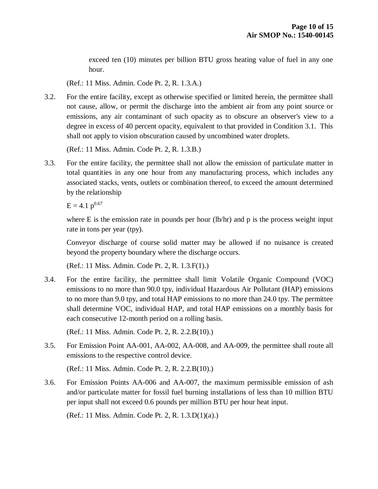exceed ten (10) minutes per billion BTU gross heating value of fuel in any one hour.

(Ref.: 11 Miss. Admin. Code Pt. 2, R. 1.3.A.)

3.2. For the entire facility, except as otherwise specified or limited herein, the permittee shall not cause, allow, or permit the discharge into the ambient air from any point source or emissions, any air contaminant of such opacity as to obscure an observer's view to a degree in excess of 40 percent opacity, equivalent to that provided in Condition 3.1. This shall not apply to vision obscuration caused by uncombined water droplets.

(Ref.: 11 Miss. Admin. Code Pt. 2, R. 1.3.B.)

3.3. For the entire facility, the permittee shall not allow the emission of particulate matter in total quantities in any one hour from any manufacturing process, which includes any associated stacks, vents, outlets or combination thereof, to exceed the amount determined by the relationship

 $E = 4.1$   $p^{0.67}$ 

where E is the emission rate in pounds per hour (lb/hr) and p is the process weight input rate in tons per year (tpy).

Conveyor discharge of course solid matter may be allowed if no nuisance is created beyond the property boundary where the discharge occurs.

(Ref.: 11 Miss. Admin. Code Pt. 2, R. 1.3.F(1).)

3.4. For the entire facility, the permittee shall limit Volatile Organic Compound (VOC) emissions to no more than 90.0 tpy, individual Hazardous Air Pollutant (HAP) emissions to no more than 9.0 tpy, and total HAP emissions to no more than 24.0 tpy. The permittee shall determine VOC, individual HAP, and total HAP emissions on a monthly basis for each consecutive 12-month period on a rolling basis.

(Ref.: 11 Miss. Admin. Code Pt. 2, R. 2.2.B(10).)

3.5. For Emission Point AA-001, AA-002, AA-008, and AA-009, the permittee shall route all emissions to the respective control device.

(Ref.: 11 Miss. Admin. Code Pt. 2, R. 2.2.B(10).)

3.6. For Emission Points AA-006 and AA-007, the maximum permissible emission of ash and/or particulate matter for fossil fuel burning installations of less than 10 million BTU per input shall not exceed 0.6 pounds per million BTU per hour heat input.

(Ref.: 11 Miss. Admin. Code Pt. 2, R. 1.3.D(1)(a).)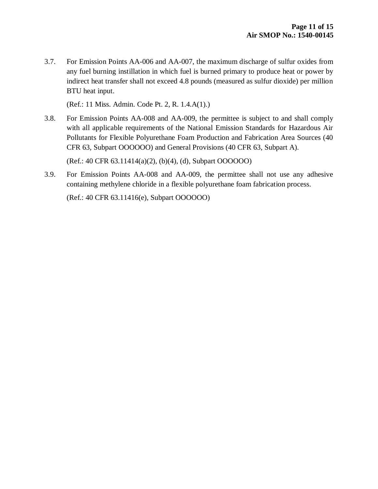3.7. For Emission Points AA-006 and AA-007, the maximum discharge of sulfur oxides from any fuel burning instillation in which fuel is burned primary to produce heat or power by indirect heat transfer shall not exceed 4.8 pounds (measured as sulfur dioxide) per million BTU heat input.

(Ref.: 11 Miss. Admin. Code Pt. 2, R. 1.4.A(1).)

3.8. For Emission Points AA-008 and AA-009, the permittee is subject to and shall comply with all applicable requirements of the National Emission Standards for Hazardous Air Pollutants for Flexible Polyurethane Foam Production and Fabrication Area Sources (40 CFR 63, Subpart OOOOOO) and General Provisions (40 CFR 63, Subpart A).

(Ref.: 40 CFR 63.11414(a)(2), (b)(4), (d), Subpart OOOOOO)

3.9. For Emission Points AA-008 and AA-009, the permittee shall not use any adhesive containing methylene chloride in a flexible polyurethane foam fabrication process.

(Ref.: 40 CFR 63.11416(e), Subpart OOOOOO)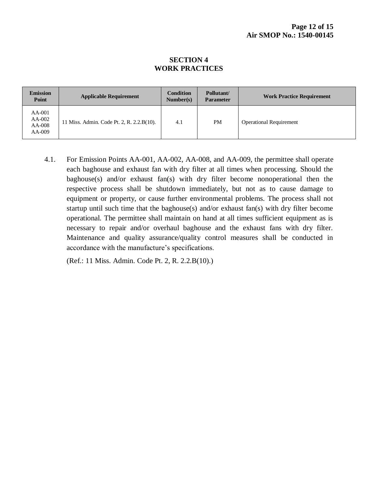#### **SECTION 4 WORK PRACTICES**

| <b>Emission</b><br>Point               | <b>Applicable Requirement</b>             | Condition<br>Number(s) | Pollutant/<br><b>Parameter</b> | <b>Work Practice Requirement</b> |
|----------------------------------------|-------------------------------------------|------------------------|--------------------------------|----------------------------------|
| AA-001<br>$AA-002$<br>AA-008<br>AA-009 | 11 Miss. Admin. Code Pt. 2, R. 2.2.B(10). | 4.1                    | <b>PM</b>                      | <b>Operational Requirement</b>   |

4.1. For Emission Points AA-001, AA-002, AA-008, and AA-009, the permittee shall operate each baghouse and exhaust fan with dry filter at all times when processing. Should the baghouse(s) and/or exhaust fan(s) with dry filter become nonoperational then the respective process shall be shutdown immediately, but not as to cause damage to equipment or property, or cause further environmental problems. The process shall not startup until such time that the baghouse(s) and/or exhaust fan(s) with dry filter become operational. The permittee shall maintain on hand at all times sufficient equipment as is necessary to repair and/or overhaul baghouse and the exhaust fans with dry filter. Maintenance and quality assurance/quality control measures shall be conducted in accordance with the manufacture's specifications.

(Ref.: 11 Miss. Admin. Code Pt. 2, R. 2.2.B(10).)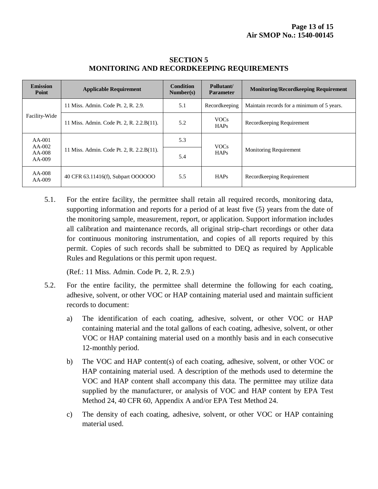| <b>Emission</b><br>Point                 | <b>Applicable Requirement</b>             | <b>Condition</b><br>Number(s) | Pollutant/<br><b>Parameter</b> | <b>Monitoring/Recordkeeping Requirement</b> |
|------------------------------------------|-------------------------------------------|-------------------------------|--------------------------------|---------------------------------------------|
| Facility-Wide                            | 11 Miss. Admin. Code Pt. 2, R. 2.9.       | 5.1                           | Recordkeeping                  | Maintain records for a minimum of 5 years.  |
|                                          | 11 Miss. Admin. Code Pt. 2, R. 2.2.B(11). | 5.2                           | <b>VOCs</b><br><b>HAPs</b>     | Recordkeeping Requirement                   |
| $AA-001$<br>$AA-002$<br>AA-008<br>AA-009 | 11 Miss. Admin. Code Pt. 2, R. 2.2.B(11). | 5.3                           | <b>VOCs</b><br><b>HAPs</b>     | <b>Monitoring Requirement</b>               |
|                                          |                                           | 5.4                           |                                |                                             |
| $AA-008$<br>AA-009                       | 40 CFR 63.11416(f), Subpart OOOOOO        | 5.5                           | <b>HAPs</b>                    | Recordkeeping Requirement                   |

#### **SECTION 5 MONITORING AND RECORDKEEPING REQUIREMENTS**

5.1. For the entire facility, the permittee shall retain all required records, monitoring data, supporting information and reports for a period of at least five (5) years from the date of the monitoring sample, measurement, report, or application. Support information includes all calibration and maintenance records, all original strip-chart recordings or other data for continuous monitoring instrumentation, and copies of all reports required by this permit. Copies of such records shall be submitted to DEQ as required by Applicable Rules and Regulations or this permit upon request.

(Ref.: 11 Miss. Admin. Code Pt. 2, R. 2.9.)

- 5.2. For the entire facility, the permittee shall determine the following for each coating, adhesive, solvent, or other VOC or HAP containing material used and maintain sufficient records to document:
	- a) The identification of each coating, adhesive, solvent, or other VOC or HAP containing material and the total gallons of each coating, adhesive, solvent, or other VOC or HAP containing material used on a monthly basis and in each consecutive 12-monthly period.
	- b) The VOC and HAP content(s) of each coating, adhesive, solvent, or other VOC or HAP containing material used. A description of the methods used to determine the VOC and HAP content shall accompany this data. The permittee may utilize data supplied by the manufacturer, or analysis of VOC and HAP content by EPA Test Method 24, 40 CFR 60, Appendix A and/or EPA Test Method 24.
	- c) The density of each coating, adhesive, solvent, or other VOC or HAP containing material used.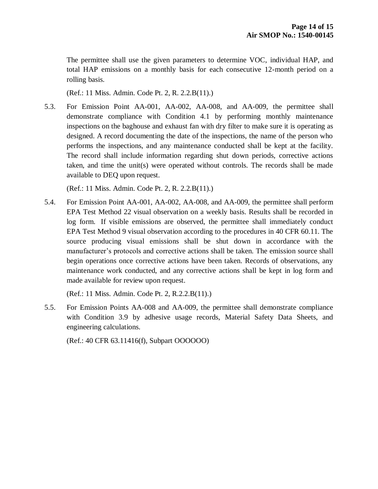The permittee shall use the given parameters to determine VOC, individual HAP, and total HAP emissions on a monthly basis for each consecutive 12-month period on a rolling basis.

(Ref.: 11 Miss. Admin. Code Pt. 2, R. 2.2.B(11).)

5.3. For Emission Point AA-001, AA-002, AA-008, and AA-009, the permittee shall demonstrate compliance with Condition 4.1 by performing monthly maintenance inspections on the baghouse and exhaust fan with dry filter to make sure it is operating as designed. A record documenting the date of the inspections, the name of the person who performs the inspections, and any maintenance conducted shall be kept at the facility. The record shall include information regarding shut down periods, corrective actions taken, and time the unit(s) were operated without controls. The records shall be made available to DEQ upon request.

(Ref.: 11 Miss. Admin. Code Pt. 2, R. 2.2.B(11).)

5.4. For Emission Point AA-001, AA-002, AA-008, and AA-009, the permittee shall perform EPA Test Method 22 visual observation on a weekly basis. Results shall be recorded in log form. If visible emissions are observed, the permittee shall immediately conduct EPA Test Method 9 visual observation according to the procedures in 40 CFR 60.11. The source producing visual emissions shall be shut down in accordance with the manufacturer's protocols and corrective actions shall be taken. The emission source shall begin operations once corrective actions have been taken. Records of observations, any maintenance work conducted, and any corrective actions shall be kept in log form and made available for review upon request.

(Ref.: 11 Miss. Admin. Code Pt. 2, R.2.2.B(11).)

5.5. For Emission Points AA-008 and AA-009, the permittee shall demonstrate compliance with Condition 3.9 by adhesive usage records, Material Safety Data Sheets, and engineering calculations.

(Ref.: 40 CFR 63.11416(f), Subpart OOOOOO)